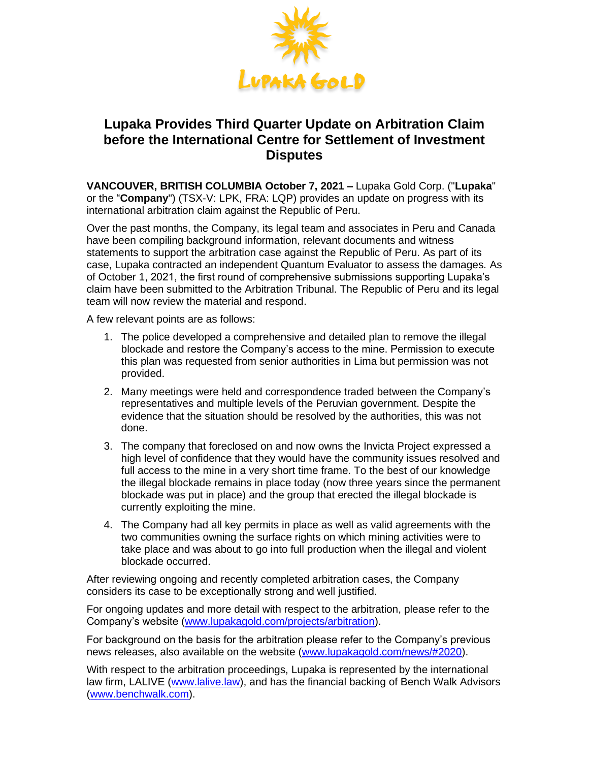

# **Lupaka Provides Third Quarter Update on Arbitration Claim before the International Centre for Settlement of Investment Disputes**

**VANCOUVER, BRITISH COLUMBIA October 7, 2021 –** Lupaka Gold Corp. ("**Lupaka**" or the "**Company**") (TSX-V: LPK, FRA: LQP) provides an update on progress with its international arbitration claim against the Republic of Peru.

Over the past months, the Company, its legal team and associates in Peru and Canada have been compiling background information, relevant documents and witness statements to support the arbitration case against the Republic of Peru. As part of its case, Lupaka contracted an independent Quantum Evaluator to assess the damages. As of October 1, 2021, the first round of comprehensive submissions supporting Lupaka's claim have been submitted to the Arbitration Tribunal. The Republic of Peru and its legal team will now review the material and respond.

A few relevant points are as follows:

- 1. The police developed a comprehensive and detailed plan to remove the illegal blockade and restore the Company's access to the mine. Permission to execute this plan was requested from senior authorities in Lima but permission was not provided.
- 2. Many meetings were held and correspondence traded between the Company's representatives and multiple levels of the Peruvian government. Despite the evidence that the situation should be resolved by the authorities, this was not done.
- 3. The company that foreclosed on and now owns the Invicta Project expressed a high level of confidence that they would have the community issues resolved and full access to the mine in a very short time frame. To the best of our knowledge the illegal blockade remains in place today (now three years since the permanent blockade was put in place) and the group that erected the illegal blockade is currently exploiting the mine.
- 4. The Company had all key permits in place as well as valid agreements with the two communities owning the surface rights on which mining activities were to take place and was about to go into full production when the illegal and violent blockade occurred.

After reviewing ongoing and recently completed arbitration cases, the Company considers its case to be exceptionally strong and well justified.

For ongoing updates and more detail with respect to the arbitration, please refer to the Company's website (www.lupakagold.com/projects/arbitration).

For background on the basis for the arbitration please refer to the Company's previous news releases, also available on the website (www.lupakagold.com/news/#2020).

With respect to the arbitration proceedings, Lupaka is represented by the international law firm, LALIVE (www.lalive.law), and has the financial backing of Bench Walk Advisors (www.benchwalk.com).